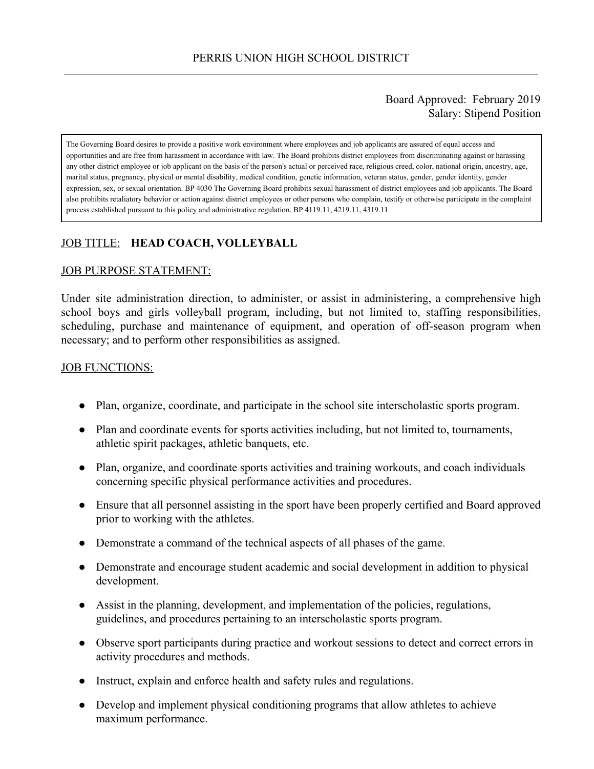### Board Approved: February 2019 Salary: Stipend Position

The Governing Board desires to provide a positive work environment where employees and job applicants are assured of equal access and opportunities and are free from harassment in accordance with law. The Board prohibits district employees from discriminating against or harassing any other district employee or job applicant on the basis of the person's actual or perceived race, religious creed, color, national origin, ancestry, age, marital status, pregnancy, physical or mental disability, medical condition, genetic information, veteran status, gender, gender identity, gender expression, sex, or sexual orientation. BP 4030 The Governing Board prohibits sexual harassment of district employees and job applicants. The Board also prohibits retaliatory behavior or action against district employees or other persons who complain, testify or otherwise participate in the complaint process established pursuant to this policy and administrative regulation. BP 4119.11, 4219.11, 4319.11

# JOB TITLE: **HEAD COACH, VOLLEYBALL**

#### JOB PURPOSE STATEMENT:

Under site administration direction, to administer, or assist in administering, a comprehensive high school boys and girls volleyball program, including, but not limited to, staffing responsibilities, scheduling, purchase and maintenance of equipment, and operation of off-season program when necessary; and to perform other responsibilities as assigned.

#### **JOB FUNCTIONS:**

- Plan, organize, coordinate, and participate in the school site interscholastic sports program.
- Plan and coordinate events for sports activities including, but not limited to, tournaments, athletic spirit packages, athletic banquets, etc.
- Plan, organize, and coordinate sports activities and training workouts, and coach individuals concerning specific physical performance activities and procedures.
- Ensure that all personnel assisting in the sport have been properly certified and Board approved prior to working with the athletes.
- Demonstrate a command of the technical aspects of all phases of the game.
- Demonstrate and encourage student academic and social development in addition to physical development.
- Assist in the planning, development, and implementation of the policies, regulations, guidelines, and procedures pertaining to an interscholastic sports program.
- Observe sport participants during practice and workout sessions to detect and correct errors in activity procedures and methods.
- Instruct, explain and enforce health and safety rules and regulations.
- Develop and implement physical conditioning programs that allow athletes to achieve maximum performance.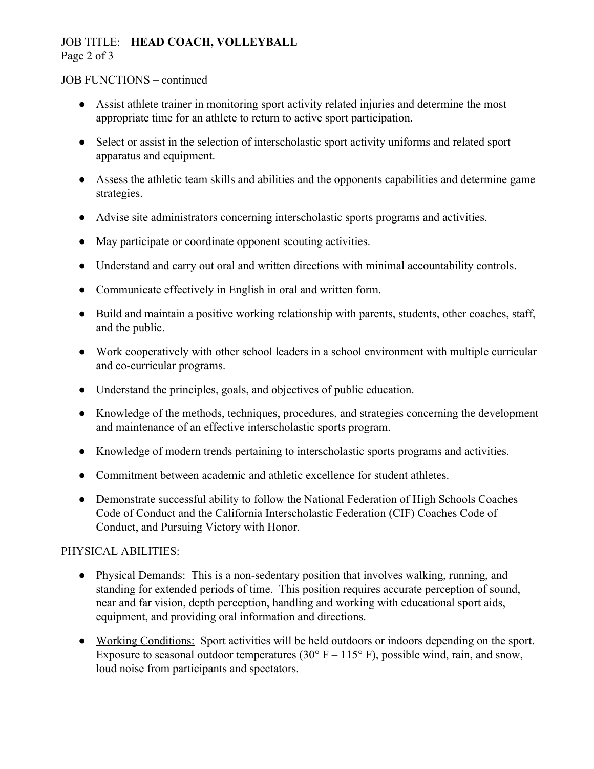## JOB TITLE: **HEAD COACH, VOLLEYBALL** Page 2 of 3

#### JOB FUNCTIONS – continued

- Assist athlete trainer in monitoring sport activity related injuries and determine the most appropriate time for an athlete to return to active sport participation.
- Select or assist in the selection of interscholastic sport activity uniforms and related sport apparatus and equipment.
- Assess the athletic team skills and abilities and the opponents capabilities and determine game strategies.
- Advise site administrators concerning interscholastic sports programs and activities.
- May participate or coordinate opponent scouting activities.
- Understand and carry out oral and written directions with minimal accountability controls.
- Communicate effectively in English in oral and written form.
- Build and maintain a positive working relationship with parents, students, other coaches, staff, and the public.
- Work cooperatively with other school leaders in a school environment with multiple curricular and co-curricular programs.
- Understand the principles, goals, and objectives of public education.
- Knowledge of the methods, techniques, procedures, and strategies concerning the development and maintenance of an effective interscholastic sports program.
- Knowledge of modern trends pertaining to interscholastic sports programs and activities.
- Commitment between academic and athletic excellence for student athletes.
- Demonstrate successful ability to follow the National Federation of High Schools Coaches Code of Conduct and the California Interscholastic Federation (CIF) Coaches Code of Conduct, and Pursuing Victory with Honor.

# PHYSICAL ABILITIES:

- Physical Demands: This is a non-sedentary position that involves walking, running, and standing for extended periods of time. This position requires accurate perception of sound, near and far vision, depth perception, handling and working with educational sport aids, equipment, and providing oral information and directions.
- Working Conditions: Sport activities will be held outdoors or indoors depending on the sport. Exposure to seasonal outdoor temperatures (30 $\degree$  F – 115 $\degree$  F), possible wind, rain, and snow, loud noise from participants and spectators.